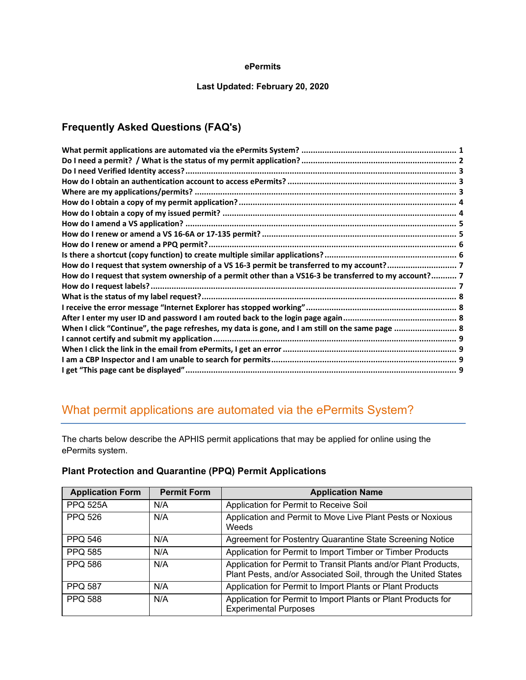#### **ePermits**

### **Last Updated: February 20, 2020**

### **Frequently Asked Questions (FAQ's)**

| How do I request that system ownership of a permit other than a VS16-3 be transferred to my account? 7 |  |
|--------------------------------------------------------------------------------------------------------|--|
|                                                                                                        |  |
|                                                                                                        |  |
|                                                                                                        |  |
|                                                                                                        |  |
| When I click "Continue", the page refreshes, my data is gone, and I am still on the same page  8       |  |
|                                                                                                        |  |
|                                                                                                        |  |
|                                                                                                        |  |
|                                                                                                        |  |

# <span id="page-0-0"></span>What permit applications are automated via the ePermits System?

The charts below describe the APHIS permit applications that may be applied for online using the ePermits system.

| <b>Application Form</b> | <b>Permit Form</b> | <b>Application Name</b>                                                                                                           |
|-------------------------|--------------------|-----------------------------------------------------------------------------------------------------------------------------------|
| <b>PPQ 525A</b>         | N/A                | Application for Permit to Receive Soil                                                                                            |
| <b>PPQ 526</b>          | N/A                | Application and Permit to Move Live Plant Pests or Noxious<br>Weeds                                                               |
| <b>PPQ 546</b>          | N/A                | Agreement for Postentry Quarantine State Screening Notice                                                                         |
| <b>PPQ 585</b>          | N/A                | Application for Permit to Import Timber or Timber Products                                                                        |
| <b>PPQ 586</b>          | N/A                | Application for Permit to Transit Plants and/or Plant Products,<br>Plant Pests, and/or Associated Soil, through the United States |
| <b>PPQ 587</b>          | N/A                | Application for Permit to Import Plants or Plant Products                                                                         |
| <b>PPQ 588</b>          | N/A                | Application for Permit to Import Plants or Plant Products for<br><b>Experimental Purposes</b>                                     |

### **Plant Protection and Quarantine (PPQ) Permit Applications**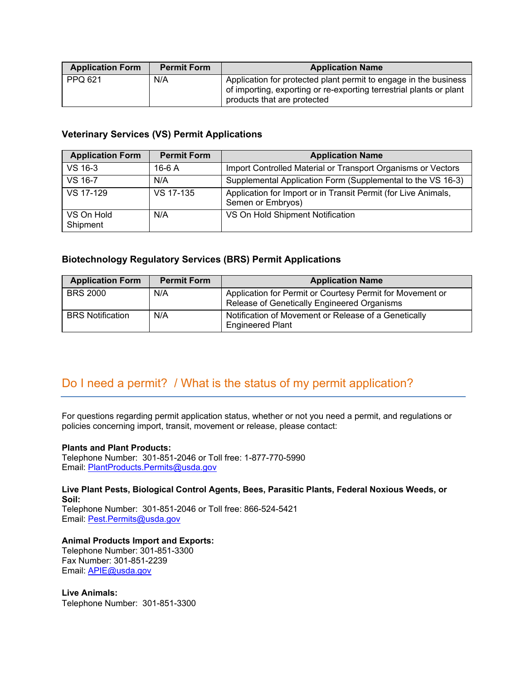| <b>Application Form</b> | <b>Permit Form</b> | <b>Application Name</b>                                                                                                                                                |
|-------------------------|--------------------|------------------------------------------------------------------------------------------------------------------------------------------------------------------------|
| PPQ 621                 | N/A                | Application for protected plant permit to engage in the business<br>of importing, exporting or re-exporting terrestrial plants or plant<br>products that are protected |

### **Veterinary Services (VS) Permit Applications**

| <b>Application Form</b> | <b>Permit Form</b> | <b>Application Name</b>                                                             |
|-------------------------|--------------------|-------------------------------------------------------------------------------------|
| VS 16-3                 | $16-6A$            | Import Controlled Material or Transport Organisms or Vectors                        |
| VS 16-7                 | N/A                | Supplemental Application Form (Supplemental to the VS 16-3)                         |
| VS 17-129               | VS 17-135          | Application for Import or in Transit Permit (for Live Animals,<br>Semen or Embryos) |
| VS On Hold<br>Shipment  | N/A                | VS On Hold Shipment Notification                                                    |

### **Biotechnology Regulatory Services (BRS) Permit Applications**

| <b>Application Form</b> | <b>Permit Form</b> | <b>Application Name</b>                                                                                  |
|-------------------------|--------------------|----------------------------------------------------------------------------------------------------------|
| <b>BRS 2000</b>         | N/A                | Application for Permit or Courtesy Permit for Movement or<br>Release of Genetically Engineered Organisms |
| <b>BRS</b> Notification | N/A                | Notification of Movement or Release of a Genetically<br><b>Engineered Plant</b>                          |

# <span id="page-1-0"></span>Do I need a permit? / What is the status of my permit application?

For questions regarding permit application status, whether or not you need a permit, and regulations or policies concerning import, transit, movement or release, please contact:

#### **Plants and Plant Products:**

Telephone Number: 301-851-2046 or Toll free: 1-877-770-5990 Email: [PlantProducts.Permits@usda.gov](mailto:PlantProducts.Permits@usda.gov)

### **Live Plant Pests, Biological Control Agents, Bees, Parasitic Plants, Federal Noxious Weeds, or Soil:**

Telephone Number: 301-851-2046 or Toll free: 866-524-5421 Email: [Pest.Permits@usda.gov](mailto:Pest.Permits@usda.gov) 

### **Animal Products Import and Exports:**

Telephone Number: 301-851-3300 Fax Number: 301-851-2239 Email: [APIE@usda.gov](mailto:APIE@usda.gov)

**Live Animals:** Telephone Number: 301-851-3300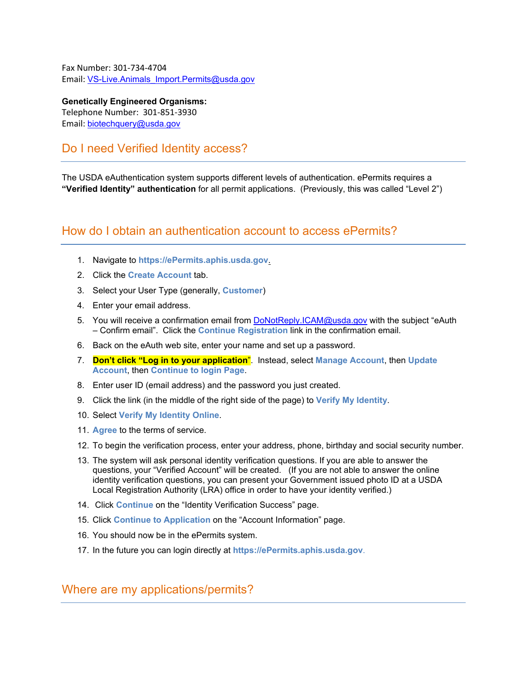Fax Number: 301-734-4704 Email: VS-Live.Animals\_Import.Permits@usda.gov

**Genetically Engineered Organisms:** Telephone Number: 301-851-3930 Email: [biotechquery@usda.gov](mailto:biotechquery@usda.gov)

## <span id="page-2-0"></span>Do I need Verified Identity access?

The USDA eAuthentication system supports different levels of authentication. ePermits requires a **"Verified Identity" authentication** for all permit applications. (Previously, this was called "Level 2")

### <span id="page-2-1"></span>How do I obtain an authentication account to access ePermits?

- 1. Navigate to **https://ePermits.aphis.usda.gov**.
- 2. Click the **Create Account** tab.
- 3. Select your User Type (generally, **Customer**)
- 4. Enter your email address.
- 5. You will receive a confirmation email from [DoNotReply.ICAM@usda.gov](mailto:DoNotReply.ICAM@usda.gov) with the subject "eAuth – Confirm email". Click the **Continue Registration** link in the confirmation email.
- 6. Back on the eAuth web site, enter your name and set up a password.
- 7. **Don't click "Log in to your application**". Instead, select **Manage Account**, then **Update Account**, then **Continue to login Page**.
- 8. Enter user ID (email address) and the password you just created.
- 9. Click the link (in the middle of the right side of the page) to **Verify My Identity**.
- 10. Select **Verify My Identity Online**.
- 11. **Agree** to the terms of service.
- 12. To begin the verification process, enter your address, phone, birthday and social security number.
- 13. The system will ask personal identity verification questions. If you are able to answer the questions, your "Verified Account" will be created. (If you are not able to answer the online identity verification questions, you can present your Government issued photo ID at a USDA Local Registration Authority (LRA) office in order to have your identity verified.)
- 14. Click **Continue** on the "Identity Verification Success" page.
- 15. Click **Continue to Application** on the "Account Information" page.
- 16. You should now be in the ePermits system.
- 17. In the future you can login directly at **https://ePermits.aphis.usda.gov**.

### <span id="page-2-2"></span>Where are my applications/permits?

 $\overline{a}$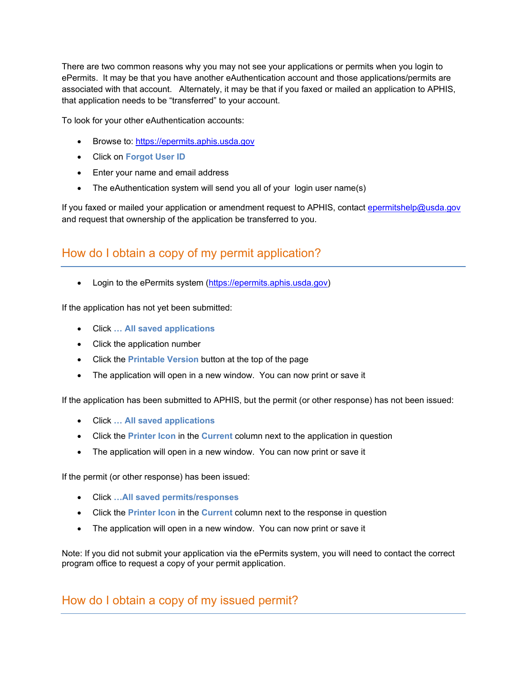There are two common reasons why you may not see your applications or permits when you login to ePermits. It may be that you have another eAuthentication account and those applications/permits are associated with that account. Alternately, it may be that if you faxed or mailed an application to APHIS, that application needs to be "transferred" to your account.

To look for your other eAuthentication accounts:

- Browse to: [https://epermits.aphis.usda.gov](https://epermits.aphis.usda.gov/)
- Click on **Forgot User ID**

l

- Enter your name and email address
- The eAuthentication system will send you all of your login user name(s)

If you faxed or mailed your application or amendment request to APHIS, contact [epermitshelp@usda.gov](mailto:epermitshelp@usda.gov) and request that ownership of the application be transferred to you.

# <span id="page-3-0"></span>How do I obtain a copy of my permit application?

• Login to the ePermits system [\(https://epermits.aphis.usda.gov\)](https://epermits.aphis.usda.gov/)

If the application has not yet been submitted:

- Click **… All saved applications**
- Click the application number
- Click the **Printable Version** button at the top of the page
- The application will open in a new window. You can now print or save it

If the application has been submitted to APHIS, but the permit (or other response) has not been issued:

- Click **… All saved applications**
- Click the **Printer Icon** in the **Current** column next to the application in question
- The application will open in a new window. You can now print or save it

If the permit (or other response) has been issued:

- Click **…All saved permits/responses**
- Click the **Printer Icon** in the **Current** column next to the response in question
- The application will open in a new window. You can now print or save it

Note: If you did not submit your application via the ePermits system, you will need to contact the correct program office to request a copy of your permit application.

<span id="page-3-1"></span>How do I obtain a copy of my issued permit?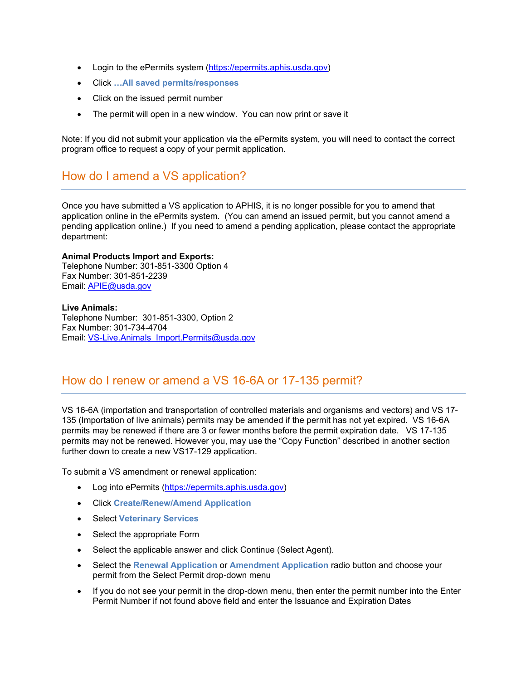- Login to the ePermits system [\(https://epermits.aphis.usda.gov\)](https://epermits.aphis.usda.gov/)
- Click **…All saved permits/responses**
- Click on the issued permit number
- The permit will open in a new window. You can now print or save it

Note: If you did not submit your application via the ePermits system, you will need to contact the correct program office to request a copy of your permit application.

## <span id="page-4-0"></span>How do I amend a VS application?

Once you have submitted a VS application to APHIS, it is no longer possible for you to amend that application online in the ePermits system. (You can amend an issued permit, but you cannot amend a pending application online.) If you need to amend a pending application, please contact the appropriate department:

#### **Animal Products Import and Exports:**

Telephone Number: 301-851-3300 Option 4 Fax Number: 301-851-2239 Email: [APIE@usda.gov](mailto:APIE@usda.gov)

#### **Live Animals:**

Telephone Number: 301-851-3300, Option 2 Fax Number: 301-734-4704 Email: VS-Live.Animals\_Import.Permits@usda.gov

## <span id="page-4-1"></span>How do I renew or amend a VS 16-6A or 17-135 permit?

VS 16-6A (importation and transportation of controlled materials and organisms and vectors) and VS 17- 135 (Importation of live animals) permits may be amended if the permit has not yet expired. VS 16-6A permits may be renewed if there are 3 or fewer months before the permit expiration date. VS 17-135 permits may not be renewed. However you, may use the "Copy Function" described in another section further down to create a new VS17-129 application.

To submit a VS amendment or renewal application:

- Log into ePermits [\(https://epermits.aphis.usda.gov\)](https://epermits.aphis.usda.gov/)
- Click **Create/Renew/Amend Application**
- Select **Veterinary Services**
- Select the appropriate Form
- Select the applicable answer and click Continue (Select Agent).
- Select the **Renewal Application** or **Amendment Application** radio button and choose your permit from the Select Permit drop-down menu
- If you do not see your permit in the drop-down menu, then enter the permit number into the Enter Permit Number if not found above field and enter the Issuance and Expiration Dates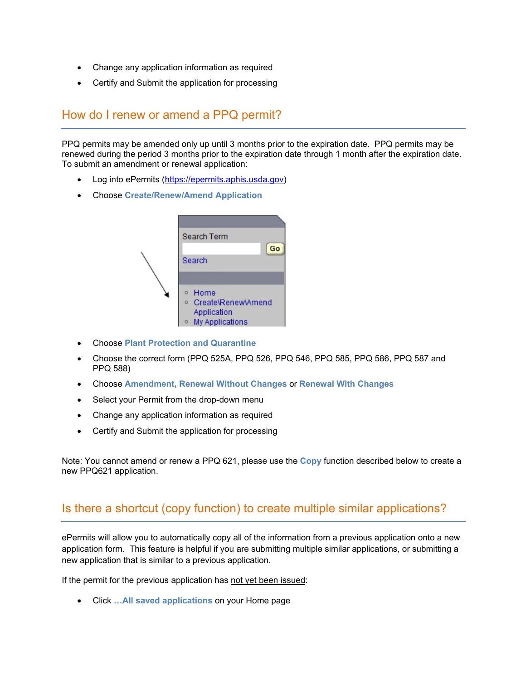- Change any application information as required
- Certify and Submit the application for processing

### <span id="page-5-0"></span>How do I renew or amend a PPQ permit?

l

PPQ permits may be amended only up until 3 months prior to the expiration date. PPQ permits may be renewed during the period 3 months prior to the expiration date through 1 month after the expiration date. To submit an amendment or renewal application:

- Log into ePermits [\(https://epermits.aphis.usda.gov\)](https://epermits.aphis.usda.gov/)
- Choose **Create/Renew/Amend Application**



- Choose **Plant Protection and Quarantine**
- Choose the correct form (PPQ 525A, PPQ 526, PPQ 546, PPQ 585, PPQ 586, PPQ 587 and PPQ 588)
- Choose **Amendment, Renewal Without Changes** or **Renewal With Changes**
- Select your Permit from the drop-down menu
- Change any application information as required
- Certify and Submit the application for processing

Note: You cannot amend or renew a PPQ 621, please use the **Copy** function described below to create a new PPQ621 application.

### <span id="page-5-1"></span>Is there a shortcut (copy function) to create multiple similar applications?

ePermits will allow you to automatically copy all of the information from a previous application onto a new application form. This feature is helpful if you are submitting multiple similar applications, or submitting a new application that is similar to a previous application.

If the permit for the previous application has not yet been issued:

• Click **…All saved applications** on your Home page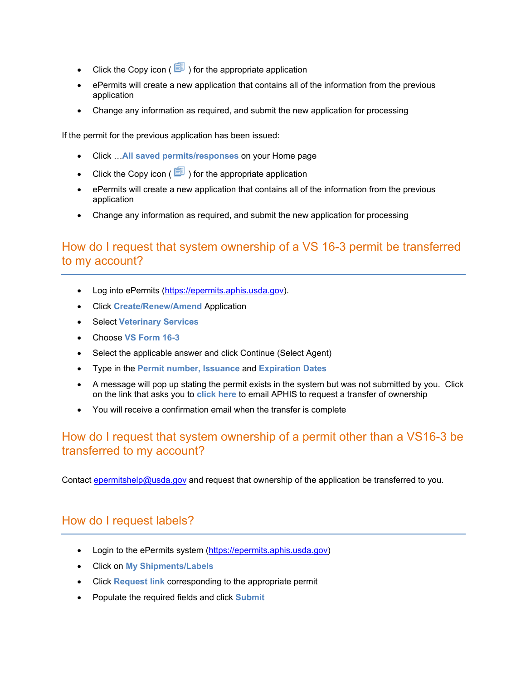- Click the Copy icon ( $\boxed{\Box}$ ) for the appropriate application
- ePermits will create a new application that contains all of the information from the previous application
- Change any information as required, and submit the new application for processing

If the permit for the previous application has been issued:

- Click …**All saved permits/responses** on your Home page
- Click the Copy icon ( $\boxed{\mathbb{E}}$ ) for the appropriate application
- ePermits will create a new application that contains all of the information from the previous application
- Change any information as required, and submit the new application for processing

# <span id="page-6-0"></span>How do I request that system ownership of a VS 16-3 permit be transferred to my account?

- Log into ePermits [\(https://epermits.aphis.usda.gov\)](https://epermits.aphis.usda.gov/).
- Click **Create/Renew/Amend** Application
- Select **Veterinary Services**
- Choose **VS Form 16-3**

l

֦

- Select the applicable answer and click Continue (Select Agent)
- Type in the **Permit number, Issuance** and **Expiration Dates**
- A message will pop up stating the permit exists in the system but was not submitted by you. Click on the link that asks you to **click here** to email APHIS to request a transfer of ownership
- You will receive a confirmation email when the transfer is complete

## <span id="page-6-1"></span>How do I request that system ownership of a permit other than a VS16-3 be transferred to my account?

Contact [epermitshelp@usda.gov](mailto:epermitshelp@usda.gov) and request that ownership of the application be transferred to you.

## <span id="page-6-2"></span>How do I request labels?

- Login to the ePermits system [\(https://epermits.aphis.usda.gov\)](https://epermits.aphis.usda.gov/)
- Click on **My Shipments/Labels**
- Click **Request link** corresponding to the appropriate permit
- Populate the required fields and click **Submit**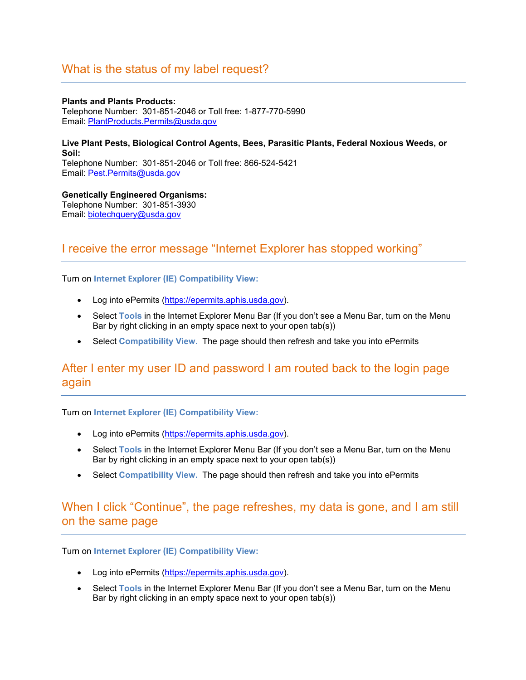## <span id="page-7-0"></span>What is the status of my label request?

**Plants and Plants Products:** Telephone Number: 301-851-2046 or Toll free: 1-877-770-5990 Email: [PlantProducts.Permits@usda.gov](mailto:PlantProducts.Permits@usda.gov)

**Live Plant Pests, Biological Control Agents, Bees, Parasitic Plants, Federal Noxious Weeds, or Soil:** Telephone Number: 301-851-2046 or Toll free: 866-524-5421

Email: [Pest.Permits@usda.gov](mailto:Pest.Permits@usda.gov) 

**Genetically Engineered Organisms:** Telephone Number: 301-851-3930 Email: [biotechquery@usda.gov](mailto:biotechquery@usda.gov)

## <span id="page-7-1"></span>I receive the error message "Internet Explorer has stopped working"

Turn on **Internet Explorer (IE) Compatibility View:**

- Log into ePermits [\(https://epermits.aphis.usda.gov\)](https://epermits.aphis.usda.gov/).
- Select **Tools** in the Internet Explorer Menu Bar (If you don't see a Menu Bar, turn on the Menu Bar by right clicking in an empty space next to your open tab(s))
- Select **Compatibility View.** The page should then refresh and take you into ePermits

## <span id="page-7-2"></span>After I enter my user ID and password I am routed back to the login page again

Turn on **Internet Explorer (IE) Compatibility View:**

l

 $\overline{a}$ 

- Log into ePermits [\(https://epermits.aphis.usda.gov\)](https://epermits.aphis.usda.gov/).
- Select **Tools** in the Internet Explorer Menu Bar (If you don't see a Menu Bar, turn on the Menu Bar by right clicking in an empty space next to your open tab(s))
- Select **Compatibility View.** The page should then refresh and take you into ePermits

## <span id="page-7-3"></span>When I click "Continue", the page refreshes, my data is gone, and I am still on the same page

Turn on **Internet Explorer (IE) Compatibility View:**

- Log into ePermits [\(https://epermits.aphis.usda.gov\)](https://epermits.aphis.usda.gov/).
- Select **Tools** in the Internet Explorer Menu Bar (If you don't see a Menu Bar, turn on the Menu Bar by right clicking in an empty space next to your open tab(s))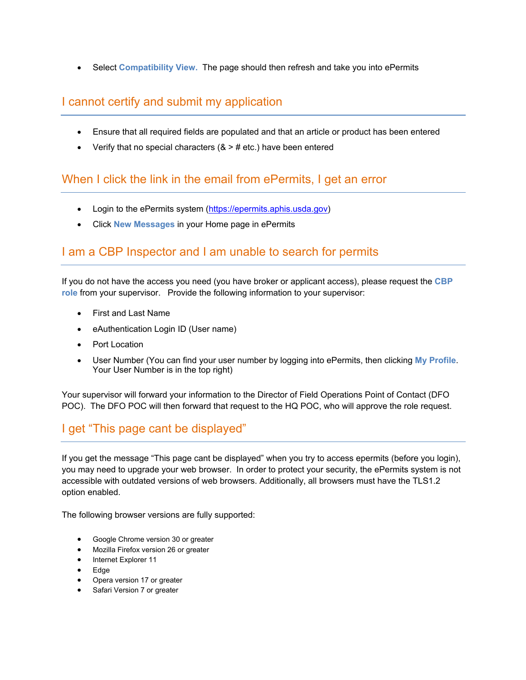• Select **Compatibility View.** The page should then refresh and take you into ePermits

# <span id="page-8-0"></span>I cannot certify and submit my application

- Ensure that all required fields are populated and that an article or product has been entered
- Verify that no special characters  $(8 > # etc.)$  have been entered

# <span id="page-8-1"></span>When I click the link in the email from ePermits, I get an error

- Login to the ePermits system [\(https://epermits.aphis.usda.gov\)](https://epermits.aphis.usda.gov/)
- Click **New Messages** in your Home page in ePermits

# <span id="page-8-2"></span>I am a CBP Inspector and I am unable to search for permits

If you do not have the access you need (you have broker or applicant access), please request the **CBP role** from your supervisor.Provide the following information to your supervisor:

- First and Last Name
- eAuthentication Login ID (User name)
- Port Location

l

֦

l

• User Number (You can find your user number by logging into ePermits, then clicking **My Profile**. Your User Number is in the top right)

Your supervisor will forward your information to the Director of Field Operations Point of Contact (DFO POC). The DFO POC will then forward that request to the HQ POC, who will approve the role request.

# <span id="page-8-3"></span>I get "This page cant be displayed"

If you get the message "This page cant be displayed" when you try to access epermits (before you login), you may need to upgrade your web browser. In order to protect your security, the ePermits system is not accessible with outdated versions of web browsers. Additionally, all browsers must have the TLS1.2 option enabled.

The following browser versions are fully supported:

- Google Chrome version 30 or greater
- Mozilla Firefox version 26 or greater
- Internet Explorer 11
- Edge
- Opera version 17 or greater
- Safari Version 7 or greater